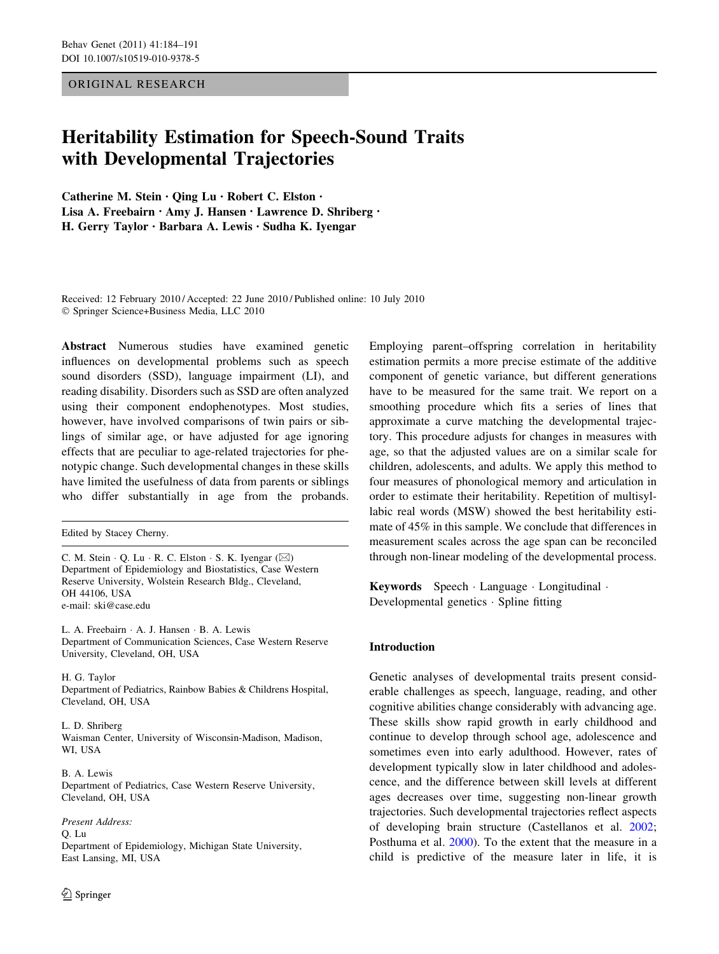ORIGINAL RESEARCH

# Heritability Estimation for Speech-Sound Traits with Developmental Trajectories

Catherine M. Stein • Qing Lu • Robert C. Elston • Lisa A. Freebairn • Amy J. Hansen • Lawrence D. Shriberg • H. Gerry Taylor • Barbara A. Lewis • Sudha K. Iyengar

Received: 12 February 2010 / Accepted: 22 June 2010 / Published online: 10 July 2010 - Springer Science+Business Media, LLC 2010

Abstract Numerous studies have examined genetic influences on developmental problems such as speech sound disorders (SSD), language impairment (LI), and reading disability. Disorders such as SSD are often analyzed using their component endophenotypes. Most studies, however, have involved comparisons of twin pairs or siblings of similar age, or have adjusted for age ignoring effects that are peculiar to age-related trajectories for phenotypic change. Such developmental changes in these skills have limited the usefulness of data from parents or siblings who differ substantially in age from the probands.

C. M. Stein  $\cdot$  Q. Lu  $\cdot$  R. C. Elston  $\cdot$  S. K. Iyengar ( $\boxtimes$ ) Department of Epidemiology and Biostatistics, Case Western Reserve University, Wolstein Research Bldg., Cleveland, OH 44106, USA e-mail: ski@case.edu

L. A. Freebairn - A. J. Hansen - B. A. Lewis Department of Communication Sciences, Case Western Reserve University, Cleveland, OH, USA

H. G. Taylor Department of Pediatrics, Rainbow Babies & Childrens Hospital, Cleveland, OH, USA

L. D. Shriberg Waisman Center, University of Wisconsin-Madison, Madison, WI, USA

B. A. Lewis Department of Pediatrics, Case Western Reserve University, Cleveland, OH, USA

Present Address: Q. Lu Department of Epidemiology, Michigan State University, East Lansing, MI, USA

Employing parent–offspring correlation in heritability estimation permits a more precise estimate of the additive component of genetic variance, but different generations have to be measured for the same trait. We report on a smoothing procedure which fits a series of lines that approximate a curve matching the developmental trajectory. This procedure adjusts for changes in measures with age, so that the adjusted values are on a similar scale for children, adolescents, and adults. We apply this method to four measures of phonological memory and articulation in order to estimate their heritability. Repetition of multisyllabic real words (MSW) showed the best heritability estimate of 45% in this sample. We conclude that differences in measurement scales across the age span can be reconciled through non-linear modeling of the developmental process.

Keywords Speech - Language - Longitudinal - Developmental genetics - Spline fitting

#### Introduction

Genetic analyses of developmental traits present considerable challenges as speech, language, reading, and other cognitive abilities change considerably with advancing age. These skills show rapid growth in early childhood and continue to develop through school age, adolescence and sometimes even into early adulthood. However, rates of development typically slow in later childhood and adolescence, and the difference between skill levels at different ages decreases over time, suggesting non-linear growth trajectories. Such developmental trajectories reflect aspects of developing brain structure (Castellanos et al. [2002](#page-6-0); Posthuma et al. [2000](#page-7-0)). To the extent that the measure in a child is predictive of the measure later in life, it is

Edited by Stacey Cherny.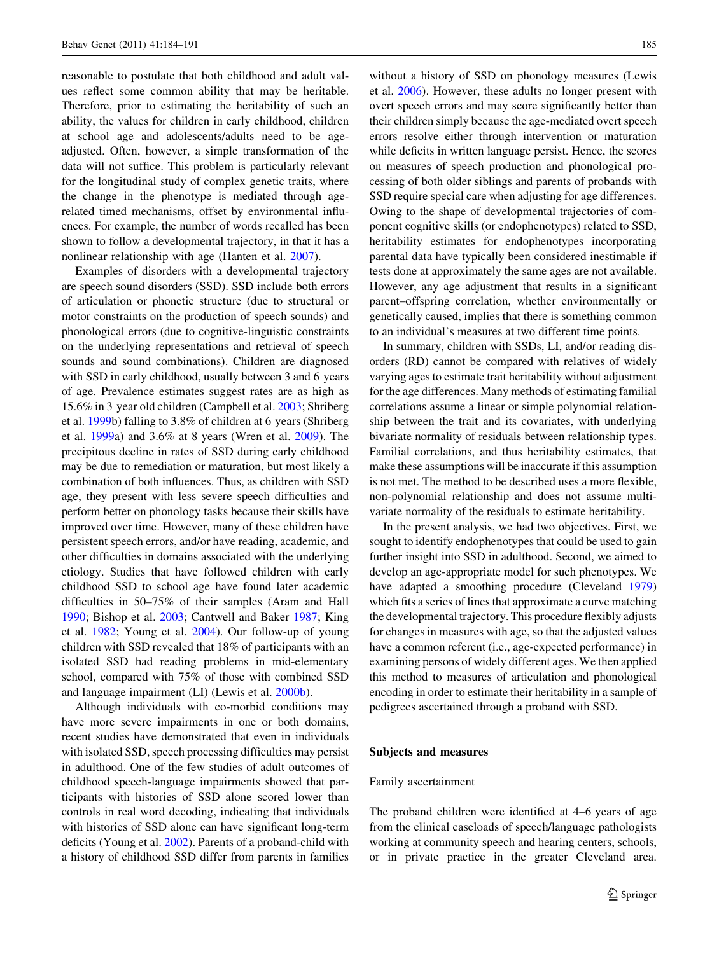reasonable to postulate that both childhood and adult values reflect some common ability that may be heritable. Therefore, prior to estimating the heritability of such an ability, the values for children in early childhood, children at school age and adolescents/adults need to be ageadjusted. Often, however, a simple transformation of the data will not suffice. This problem is particularly relevant for the longitudinal study of complex genetic traits, where the change in the phenotype is mediated through agerelated timed mechanisms, offset by environmental influences. For example, the number of words recalled has been shown to follow a developmental trajectory, in that it has a nonlinear relationship with age (Hanten et al. [2007](#page-6-0)).

Examples of disorders with a developmental trajectory are speech sound disorders (SSD). SSD include both errors of articulation or phonetic structure (due to structural or motor constraints on the production of speech sounds) and phonological errors (due to cognitive-linguistic constraints on the underlying representations and retrieval of speech sounds and sound combinations). Children are diagnosed with SSD in early childhood, usually between 3 and 6 years of age. Prevalence estimates suggest rates are as high as 15.6% in 3 year old children (Campbell et al. [2003](#page-6-0); Shriberg et al. [1999b](#page-7-0)) falling to 3.8% of children at 6 years (Shriberg et al. [1999a](#page-7-0)) and 3.6% at 8 years (Wren et al. [2009](#page-7-0)). The precipitous decline in rates of SSD during early childhood may be due to remediation or maturation, but most likely a combination of both influences. Thus, as children with SSD age, they present with less severe speech difficulties and perform better on phonology tasks because their skills have improved over time. However, many of these children have persistent speech errors, and/or have reading, academic, and other difficulties in domains associated with the underlying etiology. Studies that have followed children with early childhood SSD to school age have found later academic difficulties in 50–75% of their samples (Aram and Hall [1990;](#page-6-0) Bishop et al. [2003](#page-6-0); Cantwell and Baker [1987](#page-6-0); King et al. [1982](#page-7-0); Young et al. [2004](#page-7-0)). Our follow-up of young children with SSD revealed that 18% of participants with an isolated SSD had reading problems in mid-elementary school, compared with 75% of those with combined SSD and language impairment (LI) (Lewis et al. [2000b](#page-7-0)).

Although individuals with co-morbid conditions may have more severe impairments in one or both domains, recent studies have demonstrated that even in individuals with isolated SSD, speech processing difficulties may persist in adulthood. One of the few studies of adult outcomes of childhood speech-language impairments showed that participants with histories of SSD alone scored lower than controls in real word decoding, indicating that individuals with histories of SSD alone can have significant long-term deficits (Young et al. [2002](#page-7-0)). Parents of a proband-child with a history of childhood SSD differ from parents in families without a history of SSD on phonology measures (Lewis et al. [2006\)](#page-7-0). However, these adults no longer present with overt speech errors and may score significantly better than their children simply because the age-mediated overt speech errors resolve either through intervention or maturation while deficits in written language persist. Hence, the scores on measures of speech production and phonological processing of both older siblings and parents of probands with SSD require special care when adjusting for age differences. Owing to the shape of developmental trajectories of component cognitive skills (or endophenotypes) related to SSD, heritability estimates for endophenotypes incorporating parental data have typically been considered inestimable if tests done at approximately the same ages are not available. However, any age adjustment that results in a significant parent–offspring correlation, whether environmentally or genetically caused, implies that there is something common to an individual's measures at two different time points.

In summary, children with SSDs, LI, and/or reading disorders (RD) cannot be compared with relatives of widely varying ages to estimate trait heritability without adjustment for the age differences. Many methods of estimating familial correlations assume a linear or simple polynomial relationship between the trait and its covariates, with underlying bivariate normality of residuals between relationship types. Familial correlations, and thus heritability estimates, that make these assumptions will be inaccurate if this assumption is not met. The method to be described uses a more flexible, non-polynomial relationship and does not assume multivariate normality of the residuals to estimate heritability.

In the present analysis, we had two objectives. First, we sought to identify endophenotypes that could be used to gain further insight into SSD in adulthood. Second, we aimed to develop an age-appropriate model for such phenotypes. We have adapted a smoothing procedure (Cleveland [1979\)](#page-6-0) which fits a series of lines that approximate a curve matching the developmental trajectory. This procedure flexibly adjusts for changes in measures with age, so that the adjusted values have a common referent (i.e., age-expected performance) in examining persons of widely different ages. We then applied this method to measures of articulation and phonological encoding in order to estimate their heritability in a sample of pedigrees ascertained through a proband with SSD.

### Subjects and measures

# Family ascertainment

The proband children were identified at 4–6 years of age from the clinical caseloads of speech/language pathologists working at community speech and hearing centers, schools, or in private practice in the greater Cleveland area.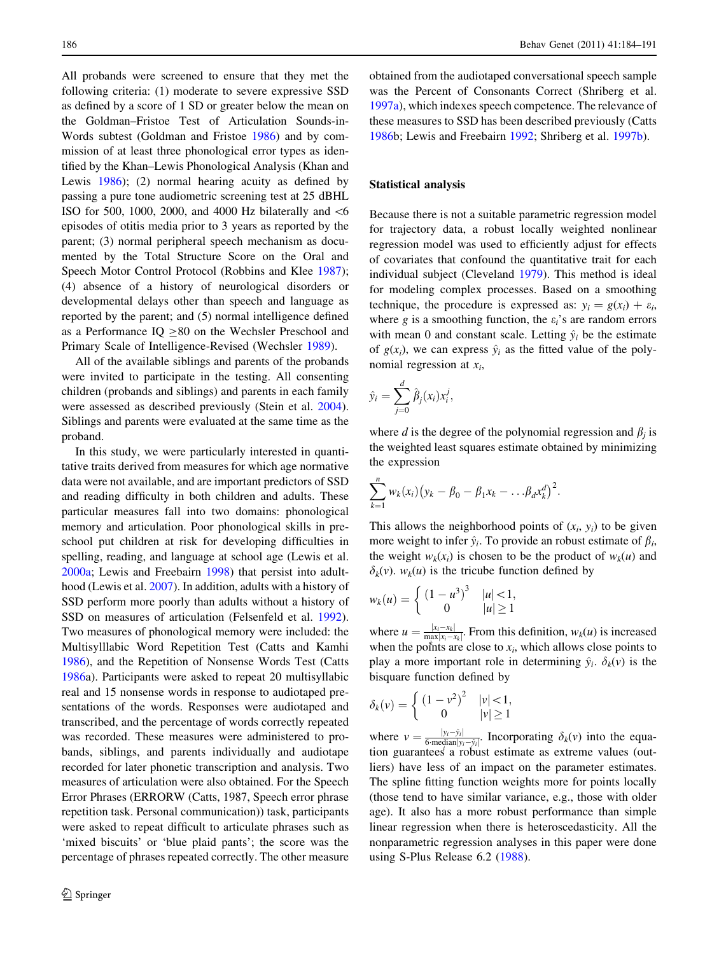All probands were screened to ensure that they met the following criteria: (1) moderate to severe expressive SSD as defined by a score of 1 SD or greater below the mean on the Goldman–Fristoe Test of Articulation Sounds-in-Words subtest (Goldman and Fristoe [1986\)](#page-6-0) and by commission of at least three phonological error types as identified by the Khan–Lewis Phonological Analysis (Khan and Lewis [1986](#page-7-0)); (2) normal hearing acuity as defined by passing a pure tone audiometric screening test at 25 dBHL ISO for 500, 1000, 2000, and 4000 Hz bilaterally and  $\lt 6$ episodes of otitis media prior to 3 years as reported by the parent; (3) normal peripheral speech mechanism as documented by the Total Structure Score on the Oral and Speech Motor Control Protocol (Robbins and Klee [1987](#page-7-0)); (4) absence of a history of neurological disorders or developmental delays other than speech and language as reported by the parent; and (5) normal intelligence defined as a Performance  $IQ > 80$  on the Wechsler Preschool and Primary Scale of Intelligence-Revised (Wechsler [1989\)](#page-7-0).

All of the available siblings and parents of the probands were invited to participate in the testing. All consenting children (probands and siblings) and parents in each family were assessed as described previously (Stein et al. [2004](#page-7-0)). Siblings and parents were evaluated at the same time as the proband.

In this study, we were particularly interested in quantitative traits derived from measures for which age normative data were not available, and are important predictors of SSD and reading difficulty in both children and adults. These particular measures fall into two domains: phonological memory and articulation. Poor phonological skills in preschool put children at risk for developing difficulties in spelling, reading, and language at school age (Lewis et al. [2000a](#page-7-0); Lewis and Freebairn [1998\)](#page-7-0) that persist into adulthood (Lewis et al. [2007\)](#page-7-0). In addition, adults with a history of SSD perform more poorly than adults without a history of SSD on measures of articulation (Felsenfeld et al. [1992](#page-6-0)). Two measures of phonological memory were included: the Multisylllabic Word Repetition Test (Catts and Kamhi [1986\)](#page-6-0), and the Repetition of Nonsense Words Test (Catts [1986a](#page-6-0)). Participants were asked to repeat 20 multisyllabic real and 15 nonsense words in response to audiotaped presentations of the words. Responses were audiotaped and transcribed, and the percentage of words correctly repeated was recorded. These measures were administered to probands, siblings, and parents individually and audiotape recorded for later phonetic transcription and analysis. Two measures of articulation were also obtained. For the Speech Error Phrases (ERRORW (Catts, 1987, Speech error phrase repetition task. Personal communication)) task, participants were asked to repeat difficult to articulate phrases such as 'mixed biscuits' or 'blue plaid pants'; the score was the percentage of phrases repeated correctly. The other measure obtained from the audiotaped conversational speech sample was the Percent of Consonants Correct (Shriberg et al. [1997a\)](#page-7-0), which indexes speech competence. The relevance of these measures to SSD has been described previously (Catts [1986](#page-6-0)b; Lewis and Freebairn [1992](#page-7-0); Shriberg et al. [1997b\)](#page-7-0).

# Statistical analysis

Because there is not a suitable parametric regression model for trajectory data, a robust locally weighted nonlinear regression model was used to efficiently adjust for effects of covariates that confound the quantitative trait for each individual subject (Cleveland [1979\)](#page-6-0). This method is ideal for modeling complex processes. Based on a smoothing technique, the procedure is expressed as:  $y_i = g(x_i) + \varepsilon_i$ , where g is a smoothing function, the  $\varepsilon_i$ 's are random errors with mean 0 and constant scale. Letting  $\hat{y}_i$  be the estimate of  $g(x_i)$ , we can express  $\hat{y}_i$  as the fitted value of the polynomial regression at  $x_i$ ,

$$
\hat{y}_i = \sum_{j=0}^d \hat{\beta}_j(x_i) x_i^j,
$$

where d is the degree of the polynomial regression and  $\beta_i$  is the weighted least squares estimate obtained by minimizing the expression

$$
\sum_{k=1}^n w_k(x_i) (y_k - \beta_0 - \beta_1 x_k - \ldots \beta_d x_k^d)^2.
$$

This allows the neighborhood points of  $(x_i, y_i)$  to be given more weight to infer  $\hat{y}_i$ . To provide an robust estimate of  $\beta_i$ , the weight  $w_k(x_i)$  is chosen to be the product of  $w_k(u)$  and  $\delta_k(v)$ .  $w_k(u)$  is the tricube function defined by

$$
w_k(u) = \begin{cases} (1 - u^3)^3 & |u| < 1, \\ 0 & |u| \ge 1 \end{cases}
$$

where  $u = \frac{|x_i - x_k|}{\max|x_i - x_k|}$ . From this definition,  $w_k(u)$  is increased when the points are close to  $x_i$ , which allows close points to play a more important role in determining  $\hat{y}_i$ .  $\delta_k(v)$  is the bisquare function defined by

$$
\delta_k(v) = \begin{cases} (1 - v^2)^2 & |v| < 1, \\ 0 & |v| \ge 1 \end{cases}
$$

where  $v = \frac{|y_i - \hat{y}_i|}{6 \text{ median}|y_i - \hat{y}_i|}$ . Incorporating  $\delta_k(v)$  into the equation expression of a physical estimate as extreme values (cut tion guarantees a robust estimate as extreme values (outliers) have less of an impact on the parameter estimates. The spline fitting function weights more for points locally (those tend to have similar variance, e.g., those with older age). It also has a more robust performance than simple linear regression when there is heteroscedasticity. All the nonparametric regression analyses in this paper were done using S-Plus Release 6.2 [\(1988\)](#page-7-0).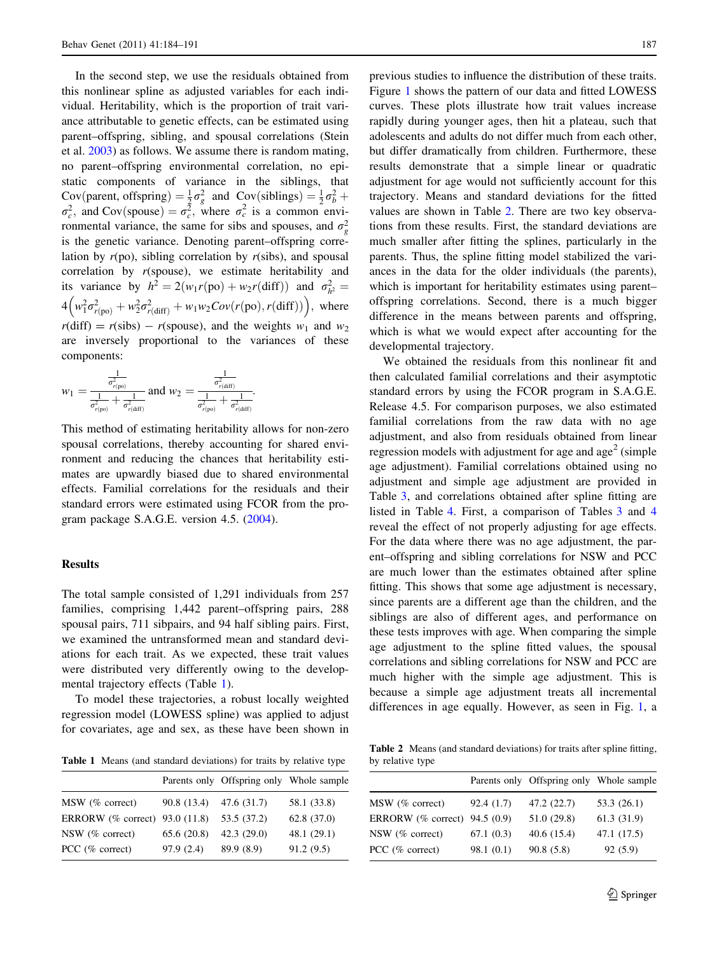In the second step, we use the residuals obtained from this nonlinear spline as adjusted variables for each individual. Heritability, which is the proportion of trait variance attributable to genetic effects, can be estimated using parent–offspring, sibling, and spousal correlations (Stein et al. [2003](#page-7-0)) as follows. We assume there is random mating, no parent–offspring environmental correlation, no epistatic components of variance in the siblings, that Cov(parent, offspring) =  $\frac{1}{2}\sigma_g^2$  and Cov(siblings) =  $\frac{1}{2}\sigma_b^2$  +  $\sigma_c^2$ , and Cov(spouse) =  $\sigma_c^2$ , where  $\sigma_c^2$  is a common environmental variance, the same for sibs and spouses, and  $\sigma_g^2$ is the genetic variance. Denoting parent–offspring correlation by  $r(po)$ , sibling correlation by  $r(sibs)$ , and spousal correlation by  $r$ (spouse), we estimate heritability and its variance by  $h^2 = 2(w_1 r (po) + w_2 r (diff))$  and  $\sigma_{h^2}^2 =$  $4(w_1^2 \sigma_{r(\text{po})}^2 + w_2^2 \sigma_{r(\text{diff})}^2 + w_1 w_2 \text{Cov}(r(\text{po}), r(\text{diff})))$ , where  $r$ (diff) =  $r$ (sibs) –  $r$ (spouse), and the weights  $w_1$  and  $w_2$ are inversely proportional to the variances of these components:

$$
w_1 = \frac{\frac{1}{\sigma_{r(\text{po})}^2}}{\frac{1}{\sigma_{r(\text{po})}^2} + \frac{1}{\sigma_{r(\text{diff})}^2}} \text{ and } w_2 = \frac{\frac{1}{\sigma_{r(\text{diff})}^2}}{\frac{1}{\sigma_{r(\text{po})}^2} + \frac{1}{\sigma_{r(\text{diff})}^2}}
$$

This method of estimating heritability allows for non-zero spousal correlations, thereby accounting for shared environment and reducing the chances that heritability estimates are upwardly biased due to shared environmental effects. Familial correlations for the residuals and their standard errors were estimated using FCOR from the program package S.A.G.E. version 4.5. ([2004\)](#page-7-0).

:

#### Results

The total sample consisted of 1,291 individuals from 257 families, comprising 1,442 parent–offspring pairs, 288 spousal pairs, 711 sibpairs, and 94 half sibling pairs. First, we examined the untransformed mean and standard deviations for each trait. As we expected, these trait values were distributed very differently owing to the developmental trajectory effects (Table 1).

To model these trajectories, a robust locally weighted regression model (LOWESS spline) was applied to adjust for covariates, age and sex, as these have been shown in

Table 1 Means (and standard deviations) for traits by relative type

|                                |             | Parents only Offspring only Whole sample |             |
|--------------------------------|-------------|------------------------------------------|-------------|
| MSW (% correct)                | 90.8 (13.4) | 47.6 (31.7)                              | 58.1 (33.8) |
| ERRORW (% correct) 93.0 (11.8) |             | 53.5 (37.2)                              | 62.8(37.0)  |
| $NSW$ (% correct)              | 65.6 (20.8) | 42.3(29.0)                               | 48.1(29.1)  |
| PCC (% correct)                | 97.9(2.4)   | 89.9 (8.9)                               | 91.2(9.5)   |

previous studies to influence the distribution of these traits. Figure [1](#page-4-0) shows the pattern of our data and fitted LOWESS curves. These plots illustrate how trait values increase rapidly during younger ages, then hit a plateau, such that adolescents and adults do not differ much from each other, but differ dramatically from children. Furthermore, these results demonstrate that a simple linear or quadratic adjustment for age would not sufficiently account for this trajectory. Means and standard deviations for the fitted values are shown in Table 2. There are two key observations from these results. First, the standard deviations are much smaller after fitting the splines, particularly in the parents. Thus, the spline fitting model stabilized the variances in the data for the older individuals (the parents), which is important for heritability estimates using parent– offspring correlations. Second, there is a much bigger difference in the means between parents and offspring, which is what we would expect after accounting for the developmental trajectory.

We obtained the residuals from this nonlinear fit and then calculated familial correlations and their asymptotic standard errors by using the FCOR program in S.A.G.E. Release 4.5. For comparison purposes, we also estimated familial correlations from the raw data with no age adjustment, and also from residuals obtained from linear regression models with adjustment for age and  $\rm{age}^2$  (simple age adjustment). Familial correlations obtained using no adjustment and simple age adjustment are provided in Table [3](#page-4-0), and correlations obtained after spline fitting are listed in Table [4.](#page-4-0) First, a comparison of Tables [3](#page-4-0) and [4](#page-4-0) reveal the effect of not properly adjusting for age effects. For the data where there was no age adjustment, the parent–offspring and sibling correlations for NSW and PCC are much lower than the estimates obtained after spline fitting. This shows that some age adjustment is necessary, since parents are a different age than the children, and the siblings are also of different ages, and performance on these tests improves with age. When comparing the simple age adjustment to the spline fitted values, the spousal correlations and sibling correlations for NSW and PCC are much higher with the simple age adjustment. This is because a simple age adjustment treats all incremental differences in age equally. However, as seen in Fig. [1](#page-4-0), a

Table 2 Means (and standard deviations) for traits after spline fitting, by relative type

|                                |           | Parents only Offspring only Whole sample |             |
|--------------------------------|-----------|------------------------------------------|-------------|
| MSW (% correct)                | 92.4(1.7) | 47.2(22.7)                               | 53.3(26.1)  |
| ERRORW (% correct) $94.5(0.9)$ |           | 51.0 (29.8)                              | 61.3(31.9)  |
| NSW $(\%$ correct)             | 67.1(0.3) | 40.6(15.4)                               | 47.1 (17.5) |
| PCC $(\%$ correct)             | 98.1(0.1) | 90.8(5.8)                                | 92(5.9)     |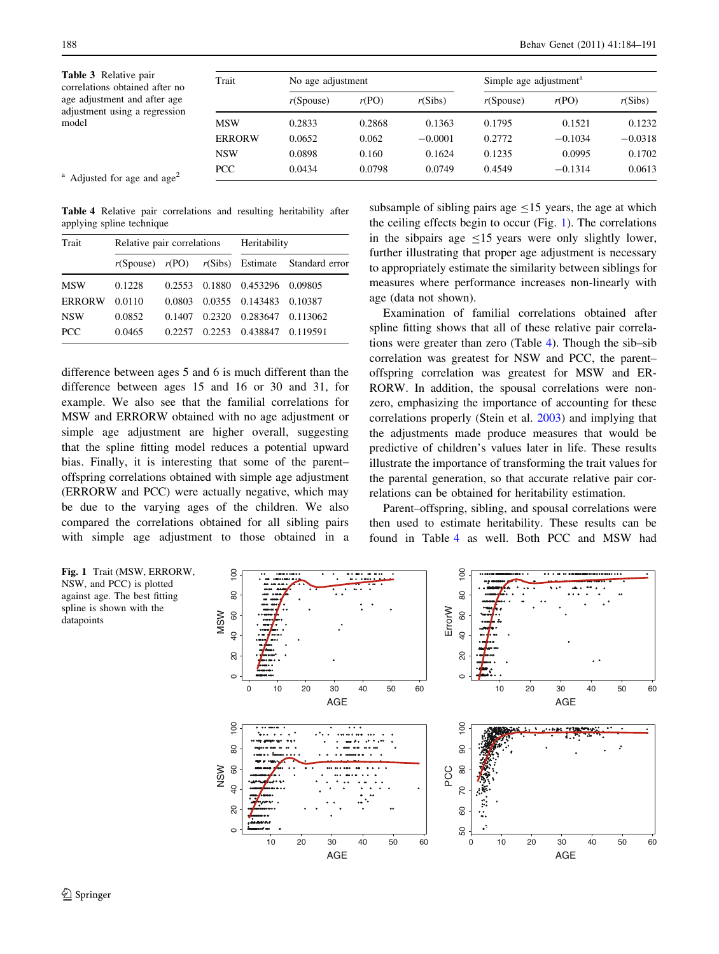<span id="page-4-0"></span>188 Behav Genet (2011) 41:184–191

| <b>Table 3</b> Relative pair<br>correlations obtained after no<br>age adjustment and after age | Trait         | No age adjustment |        |           | Simple age adjustment <sup>a</sup> |           |           |
|------------------------------------------------------------------------------------------------|---------------|-------------------|--------|-----------|------------------------------------|-----------|-----------|
|                                                                                                |               | r(Spouse)         | r(PO)  | r(Sibs)   | r(Spouse)                          | r(PO)     | r(Sibs)   |
| adjustment using a regression<br>model                                                         | <b>MSW</b>    | 0.2833            | 0.2868 | 0.1363    | 0.1795                             | 0.1521    | 0.1232    |
|                                                                                                | <b>ERRORW</b> | 0.0652            | 0.062  | $-0.0001$ | 0.2772                             | $-0.1034$ | $-0.0318$ |
|                                                                                                | <b>NSW</b>    | 0.0898            | 0.160  | 0.1624    | 0.1235                             | 0.0995    | 0.1702    |
| <sup>a</sup> Adjusted for age and age <sup>2</sup>                                             | <b>PCC</b>    | 0.0434            | 0.0798 | 0.0749    | 0.4549                             | $-0.1314$ | 0.0613    |
|                                                                                                |               |                   |        |           |                                    |           |           |

Table 4 Relative pair correlations and resulting heritability after applying spline technique

| Trait         | Relative pair correlations Heritability |        |        |                                |                                                       |  |
|---------------|-----------------------------------------|--------|--------|--------------------------------|-------------------------------------------------------|--|
|               |                                         |        |        |                                | $r(Spouse)$ $r(PO)$ $r(Sibs)$ Estimate Standard error |  |
| <b>MSW</b>    | 0.1228                                  |        |        | 0.2553 0.1880 0.453296 0.09805 |                                                       |  |
| <b>ERRORW</b> | 0.0110                                  | 0.0803 |        | 0.0355 0.143483                | 0.10387                                               |  |
| <b>NSW</b>    | 0.0852                                  | 0.1407 | 0.2320 | 0.283647 0.113062              |                                                       |  |
| PCC.          | 0.0465                                  | 0.2257 |        | 0.2253 0.438847 0.119591       |                                                       |  |

difference between ages 5 and 6 is much different than the difference between ages 15 and 16 or 30 and 31, for example. We also see that the familial correlations for MSW and ERRORW obtained with no age adjustment or simple age adjustment are higher overall, suggesting that the spline fitting model reduces a potential upward bias. Finally, it is interesting that some of the parent– offspring correlations obtained with simple age adjustment (ERRORW and PCC) were actually negative, which may be due to the varying ages of the children. We also compared the correlations obtained for all sibling pairs with simple age adjustment to those obtained in a subsample of sibling pairs age  $\leq 15$  years, the age at which the ceiling effects begin to occur (Fig. 1). The correlations in the sibpairs age  $\leq 15$  years were only slightly lower, further illustrating that proper age adjustment is necessary to appropriately estimate the similarity between siblings for measures where performance increases non-linearly with age (data not shown).

Examination of familial correlations obtained after spline fitting shows that all of these relative pair correlations were greater than zero (Table 4). Though the sib–sib correlation was greatest for NSW and PCC, the parent– offspring correlation was greatest for MSW and ER-RORW. In addition, the spousal correlations were nonzero, emphasizing the importance of accounting for these correlations properly (Stein et al. [2003](#page-7-0)) and implying that the adjustments made produce measures that would be predictive of children's values later in life. These results illustrate the importance of transforming the trait values for the parental generation, so that accurate relative pair correlations can be obtained for heritability estimation.

Parent–offspring, sibling, and spousal correlations were then used to estimate heritability. These results can be found in Table 4 as well. Both PCC and MSW had



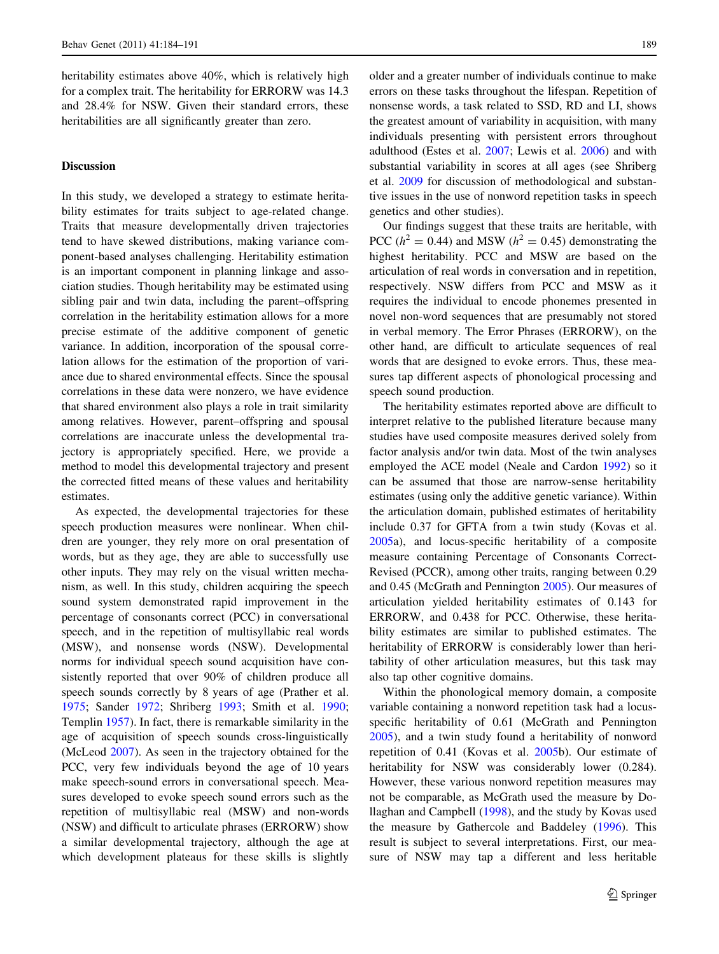heritability estimates above 40%, which is relatively high for a complex trait. The heritability for ERRORW was 14.3 and 28.4% for NSW. Given their standard errors, these heritabilities are all significantly greater than zero.

# Discussion

In this study, we developed a strategy to estimate heritability estimates for traits subject to age-related change. Traits that measure developmentally driven trajectories tend to have skewed distributions, making variance component-based analyses challenging. Heritability estimation is an important component in planning linkage and association studies. Though heritability may be estimated using sibling pair and twin data, including the parent–offspring correlation in the heritability estimation allows for a more precise estimate of the additive component of genetic variance. In addition, incorporation of the spousal correlation allows for the estimation of the proportion of variance due to shared environmental effects. Since the spousal correlations in these data were nonzero, we have evidence that shared environment also plays a role in trait similarity among relatives. However, parent–offspring and spousal correlations are inaccurate unless the developmental trajectory is appropriately specified. Here, we provide a method to model this developmental trajectory and present the corrected fitted means of these values and heritability estimates.

As expected, the developmental trajectories for these speech production measures were nonlinear. When children are younger, they rely more on oral presentation of words, but as they age, they are able to successfully use other inputs. They may rely on the visual written mechanism, as well. In this study, children acquiring the speech sound system demonstrated rapid improvement in the percentage of consonants correct (PCC) in conversational speech, and in the repetition of multisyllabic real words (MSW), and nonsense words (NSW). Developmental norms for individual speech sound acquisition have consistently reported that over 90% of children produce all speech sounds correctly by 8 years of age (Prather et al. [1975;](#page-7-0) Sander [1972](#page-7-0); Shriberg [1993;](#page-7-0) Smith et al. [1990](#page-7-0); Templin [1957](#page-7-0)). In fact, there is remarkable similarity in the age of acquisition of speech sounds cross-linguistically (McLeod [2007](#page-7-0)). As seen in the trajectory obtained for the PCC, very few individuals beyond the age of 10 years make speech-sound errors in conversational speech. Measures developed to evoke speech sound errors such as the repetition of multisyllabic real (MSW) and non-words (NSW) and difficult to articulate phrases (ERRORW) show a similar developmental trajectory, although the age at which development plateaus for these skills is slightly older and a greater number of individuals continue to make errors on these tasks throughout the lifespan. Repetition of nonsense words, a task related to SSD, RD and LI, shows the greatest amount of variability in acquisition, with many individuals presenting with persistent errors throughout adulthood (Estes et al. [2007](#page-6-0); Lewis et al. [2006](#page-7-0)) and with substantial variability in scores at all ages (see Shriberg et al. [2009](#page-7-0) for discussion of methodological and substantive issues in the use of nonword repetition tasks in speech genetics and other studies).

Our findings suggest that these traits are heritable, with PCC ( $h^2 = 0.44$ ) and MSW ( $h^2 = 0.45$ ) demonstrating the highest heritability. PCC and MSW are based on the articulation of real words in conversation and in repetition, respectively. NSW differs from PCC and MSW as it requires the individual to encode phonemes presented in novel non-word sequences that are presumably not stored in verbal memory. The Error Phrases (ERRORW), on the other hand, are difficult to articulate sequences of real words that are designed to evoke errors. Thus, these measures tap different aspects of phonological processing and speech sound production.

The heritability estimates reported above are difficult to interpret relative to the published literature because many studies have used composite measures derived solely from factor analysis and/or twin data. Most of the twin analyses employed the ACE model (Neale and Cardon [1992](#page-7-0)) so it can be assumed that those are narrow-sense heritability estimates (using only the additive genetic variance). Within the articulation domain, published estimates of heritability include 0.37 for GFTA from a twin study (Kovas et al. [2005](#page-7-0)a), and locus-specific heritability of a composite measure containing Percentage of Consonants Correct-Revised (PCCR), among other traits, ranging between 0.29 and 0.45 (McGrath and Pennington [2005\)](#page-7-0). Our measures of articulation yielded heritability estimates of 0.143 for ERRORW, and 0.438 for PCC. Otherwise, these heritability estimates are similar to published estimates. The heritability of ERRORW is considerably lower than heritability of other articulation measures, but this task may also tap other cognitive domains.

Within the phonological memory domain, a composite variable containing a nonword repetition task had a locusspecific heritability of 0.61 (McGrath and Pennington [2005](#page-7-0)), and a twin study found a heritability of nonword repetition of 0.41 (Kovas et al. [2005b](#page-7-0)). Our estimate of heritability for NSW was considerably lower (0.284). However, these various nonword repetition measures may not be comparable, as McGrath used the measure by Dollaghan and Campbell [\(1998](#page-6-0)), and the study by Kovas used the measure by Gathercole and Baddeley [\(1996](#page-6-0)). This result is subject to several interpretations. First, our measure of NSW may tap a different and less heritable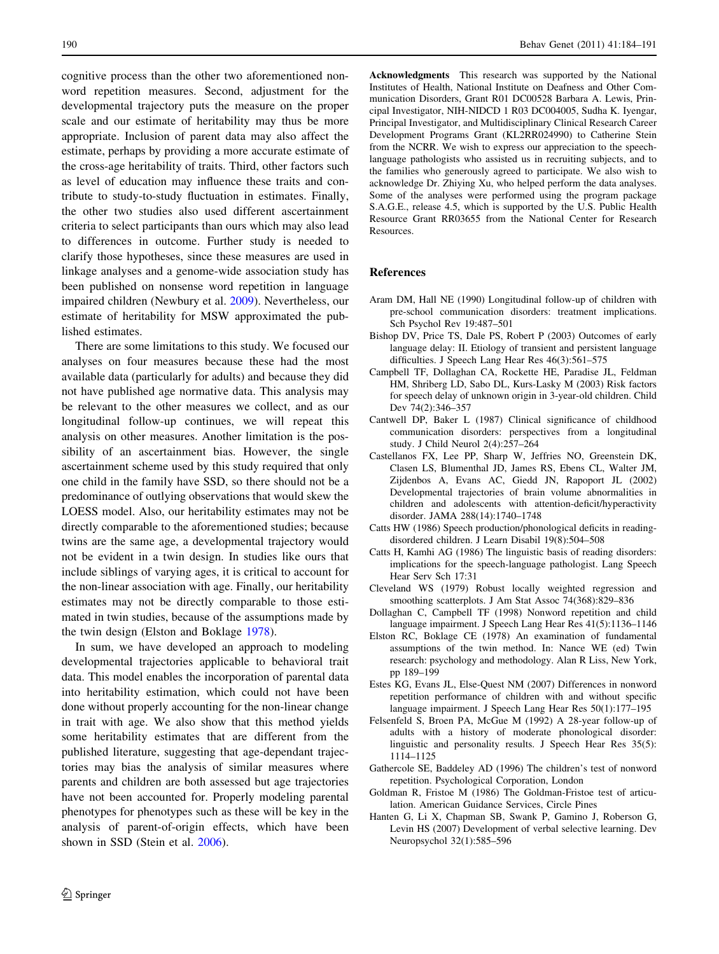<span id="page-6-0"></span>cognitive process than the other two aforementioned nonword repetition measures. Second, adjustment for the developmental trajectory puts the measure on the proper scale and our estimate of heritability may thus be more appropriate. Inclusion of parent data may also affect the estimate, perhaps by providing a more accurate estimate of the cross-age heritability of traits. Third, other factors such as level of education may influence these traits and contribute to study-to-study fluctuation in estimates. Finally, the other two studies also used different ascertainment criteria to select participants than ours which may also lead to differences in outcome. Further study is needed to clarify those hypotheses, since these measures are used in linkage analyses and a genome-wide association study has been published on nonsense word repetition in language impaired children (Newbury et al. [2009](#page-7-0)). Nevertheless, our estimate of heritability for MSW approximated the published estimates.

There are some limitations to this study. We focused our analyses on four measures because these had the most available data (particularly for adults) and because they did not have published age normative data. This analysis may be relevant to the other measures we collect, and as our longitudinal follow-up continues, we will repeat this analysis on other measures. Another limitation is the possibility of an ascertainment bias. However, the single ascertainment scheme used by this study required that only one child in the family have SSD, so there should not be a predominance of outlying observations that would skew the LOESS model. Also, our heritability estimates may not be directly comparable to the aforementioned studies; because twins are the same age, a developmental trajectory would not be evident in a twin design. In studies like ours that include siblings of varying ages, it is critical to account for the non-linear association with age. Finally, our heritability estimates may not be directly comparable to those estimated in twin studies, because of the assumptions made by the twin design (Elston and Boklage 1978).

In sum, we have developed an approach to modeling developmental trajectories applicable to behavioral trait data. This model enables the incorporation of parental data into heritability estimation, which could not have been done without properly accounting for the non-linear change in trait with age. We also show that this method yields some heritability estimates that are different from the published literature, suggesting that age-dependant trajectories may bias the analysis of similar measures where parents and children are both assessed but age trajectories have not been accounted for. Properly modeling parental phenotypes for phenotypes such as these will be key in the analysis of parent-of-origin effects, which have been shown in SSD (Stein et al. [2006\)](#page-7-0).

Acknowledgments This research was supported by the National Institutes of Health, National Institute on Deafness and Other Communication Disorders, Grant R01 DC00528 Barbara A. Lewis, Principal Investigator, NIH-NIDCD 1 R03 DC004005, Sudha K. Iyengar, Principal Investigator, and Multidisciplinary Clinical Research Career Development Programs Grant (KL2RR024990) to Catherine Stein from the NCRR. We wish to express our appreciation to the speechlanguage pathologists who assisted us in recruiting subjects, and to the families who generously agreed to participate. We also wish to acknowledge Dr. Zhiying Xu, who helped perform the data analyses. Some of the analyses were performed using the program package S.A.G.E., release 4.5, which is supported by the U.S. Public Health Resource Grant RR03655 from the National Center for Research Resources.

#### References

- Aram DM, Hall NE (1990) Longitudinal follow-up of children with pre-school communication disorders: treatment implications. Sch Psychol Rev 19:487–501
- Bishop DV, Price TS, Dale PS, Robert P (2003) Outcomes of early language delay: II. Etiology of transient and persistent language difficulties. J Speech Lang Hear Res  $46(3):561-575$
- Campbell TF, Dollaghan CA, Rockette HE, Paradise JL, Feldman HM, Shriberg LD, Sabo DL, Kurs-Lasky M (2003) Risk factors for speech delay of unknown origin in 3-year-old children. Child Dev 74(2):346–357
- Cantwell DP, Baker L (1987) Clinical significance of childhood communication disorders: perspectives from a longitudinal study. J Child Neurol 2(4):257–264
- Castellanos FX, Lee PP, Sharp W, Jeffries NO, Greenstein DK, Clasen LS, Blumenthal JD, James RS, Ebens CL, Walter JM, Zijdenbos A, Evans AC, Giedd JN, Rapoport JL (2002) Developmental trajectories of brain volume abnormalities in children and adolescents with attention-deficit/hyperactivity disorder. JAMA 288(14):1740–1748
- Catts HW (1986) Speech production/phonological deficits in readingdisordered children. J Learn Disabil 19(8):504–508
- Catts H, Kamhi AG (1986) The linguistic basis of reading disorders: implications for the speech-language pathologist. Lang Speech Hear Serv Sch 17:31
- Cleveland WS (1979) Robust locally weighted regression and smoothing scatterplots. J Am Stat Assoc 74(368):829–836
- Dollaghan C, Campbell TF (1998) Nonword repetition and child language impairment. J Speech Lang Hear Res 41(5):1136–1146
- Elston RC, Boklage CE (1978) An examination of fundamental assumptions of the twin method. In: Nance WE (ed) Twin research: psychology and methodology. Alan R Liss, New York, pp 189–199
- Estes KG, Evans JL, Else-Quest NM (2007) Differences in nonword repetition performance of children with and without specific language impairment. J Speech Lang Hear Res 50(1):177–195
- Felsenfeld S, Broen PA, McGue M (1992) A 28-year follow-up of adults with a history of moderate phonological disorder: linguistic and personality results. J Speech Hear Res 35(5): 1114–1125
- Gathercole SE, Baddeley AD (1996) The children's test of nonword repetition. Psychological Corporation, London
- Goldman R, Fristoe M (1986) The Goldman-Fristoe test of articulation. American Guidance Services, Circle Pines
- Hanten G, Li X, Chapman SB, Swank P, Gamino J, Roberson G, Levin HS (2007) Development of verbal selective learning. Dev Neuropsychol 32(1):585–596